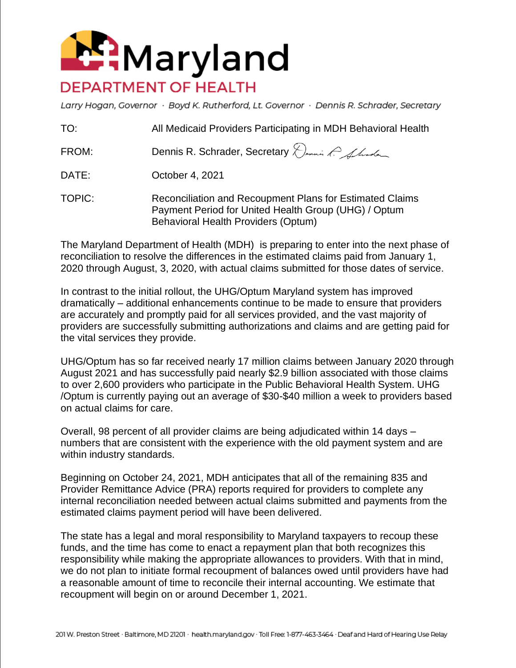

Larry Hogan, Governor · Boyd K. Rutherford, Lt. Governor · Dennis R. Schrader, Secretary

| TO: | All Medicaid Providers Participating in MDH Behavioral Health |
|-----|---------------------------------------------------------------|
|-----|---------------------------------------------------------------|

FROM: Dennis R. Schrader, Secretary Dennis R. Achodes

DATE: October 4, 2021

TOPIC: Reconciliation and Recoupment Plans for Estimated Claims Payment Period for United Health Group (UHG) / Optum Behavioral Health Providers (Optum)

The Maryland Department of Health (MDH) is preparing to enter into the next phase of reconciliation to resolve the differences in the estimated claims paid from January 1, 2020 through August, 3, 2020, with actual claims submitted for those dates of service.

In contrast to the initial rollout, the UHG/Optum Maryland system has improved dramatically – additional enhancements continue to be made to ensure that providers are accurately and promptly paid for all services provided, and the vast majority of providers are successfully submitting authorizations and claims and are getting paid for the vital services they provide.

UHG/Optum has so far received nearly 17 million claims between January 2020 through August 2021 and has successfully paid nearly \$2.9 billion associated with those claims to over 2,600 providers who participate in the Public Behavioral Health System. UHG /Optum is currently paying out an average of \$30-\$40 million a week to providers based on actual claims for care.

Overall, 98 percent of all provider claims are being adjudicated within 14 days – numbers that are consistent with the experience with the old payment system and are within industry standards.

Beginning on October 24, 2021, MDH anticipates that all of the remaining 835 and Provider Remittance Advice (PRA) reports required for providers to complete any internal reconciliation needed between actual claims submitted and payments from the estimated claims payment period will have been delivered.

The state has a legal and moral responsibility to Maryland taxpayers to recoup these funds, and the time has come to enact a repayment plan that both recognizes this responsibility while making the appropriate allowances to providers. With that in mind, we do not plan to initiate formal recoupment of balances owed until providers have had a reasonable amount of time to reconcile their internal accounting. We estimate that recoupment will begin on or around December 1, 2021.